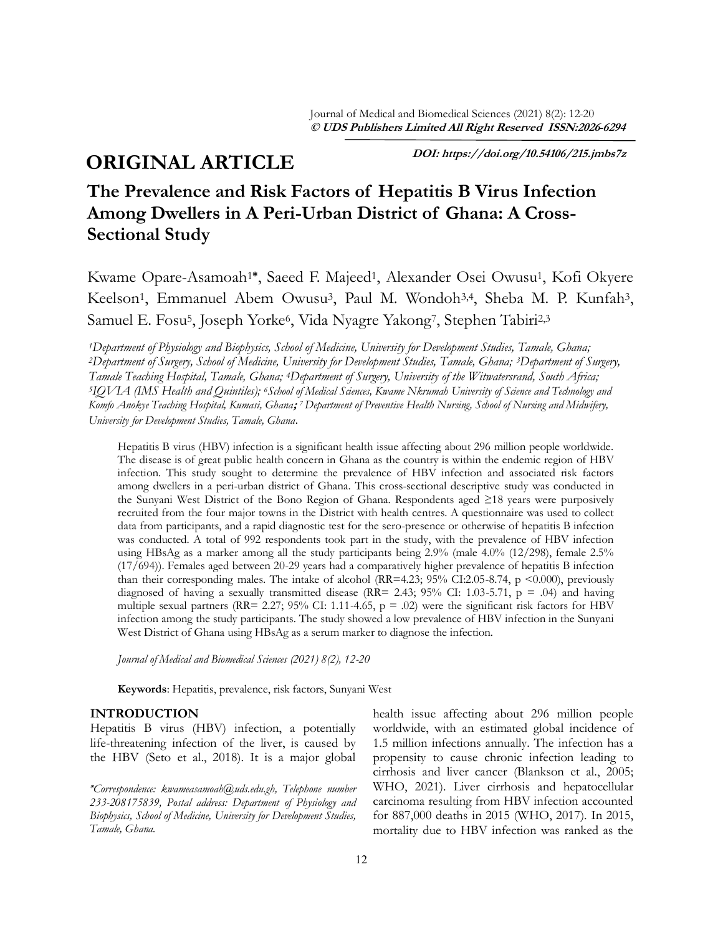# **DOI: https://doi.org/10.54106/215.jmbs7z ORIGINAL ARTICLE**

# **The Prevalence and Risk Factors of Hepatitis B Virus Infection Among Dwellers in A Peri-Urban District of Ghana: A Cross-Sectional Study**

Kwame Opare-Asamoah<sup>1\*</sup>, Saeed F. Majeed<sup>1</sup>, Alexander Osei Owusu<sup>1</sup>, Kofi Okyere Keelson<sup>1</sup>, Emmanuel Abem Owusu<sup>3</sup>, Paul M. Wondoh<sup>3,4</sup>, Sheba M. P. Kunfah<sup>3</sup>, Samuel E. Fosu<sup>5</sup>, Joseph Yorke<sup>6</sup>, Vida Nyagre Yakong<sup>7</sup>, Stephen Tabiri<sup>2,3</sup>

*<sup>1</sup>Department of Physiology and Biophysics, School of Medicine, University for Development Studies, Tamale, Ghana; <sup>2</sup>Department of Surgery, School of Medicine, University for Development Studies, Tamale, Ghana; <sup>3</sup>Department of Surgery, Tamale Teaching Hospital, Tamale, Ghana; 4Department of Surgery, University of the Witwatersrand, South Africa; <sup>5</sup>IQVIA (IMS Health and Quintiles); 6School of Medical Sciences, Kwame Nkrumah University of Science and Technology and Komfo Anokye Teaching Hospital, Kumasi, Ghana***;**  *<sup>7</sup>Department of Preventive Health Nursing, School of Nursing and Midwifery, University for Development Studies, Tamale, Ghana*.

Hepatitis B virus (HBV) infection is a significant health issue affecting about 296 million people worldwide. The disease is of great public health concern in Ghana as the country is within the endemic region of HBV infection. This study sought to determine the prevalence of HBV infection and associated risk factors among dwellers in a peri-urban district of Ghana. This cross-sectional descriptive study was conducted in the Sunyani West District of the Bono Region of Ghana. Respondents aged ≥18 years were purposively recruited from the four major towns in the District with health centres. A questionnaire was used to collect data from participants, and a rapid diagnostic test for the sero-presence or otherwise of hepatitis B infection was conducted. A total of 992 respondents took part in the study, with the prevalence of HBV infection using HBsAg as a marker among all the study participants being 2.9% (male 4.0% (12/298), female 2.5% (17/694)). Females aged between 20-29 years had a comparatively higher prevalence of hepatitis B infection than their corresponding males. The intake of alcohol (RR=4.23; 95% CI:2.05-8.74, p <0.000), previously diagnosed of having a sexually transmitted disease (RR= 2.43; 95% CI: 1.03-5.71,  $p = .04$ ) and having multiple sexual partners (RR= 2.27; 95% CI: 1.11-4.65, p = .02) were the significant risk factors for HBV infection among the study participants. The study showed a low prevalence of HBV infection in the Sunyani West District of Ghana using HBsAg as a serum marker to diagnose the infection.

*Journal of Medical and Biomedical Sciences (2021) 8(2), 12-20*

**Keywords**: Hepatitis, prevalence, risk factors, Sunyani West

# **INTRODUCTION**

Hepatitis B virus (HBV) infection, a potentially life-threatening infection of the liver, is caused by the HBV (Seto et al., 2018). It is a major global

**\****Correspondence: kwameasamoah@uds.edu.gh, Telephone number 233-208175839, Postal address: Department of Physiology and Biophysics, School of Medicine, University for Development Studies, Tamale, Ghana.*

health issue affecting about 296 million people worldwide, with an estimated global incidence of 1.5 million infections annually. The infection has a propensity to cause chronic infection leading to cirrhosis and liver cancer (Blankson et al., 2005; WHO, 2021). Liver cirrhosis and hepatocellular carcinoma resulting from HBV infection accounted for 887,000 deaths in 2015 (WHO, 2017). In 2015, mortality due to HBV infection was ranked as the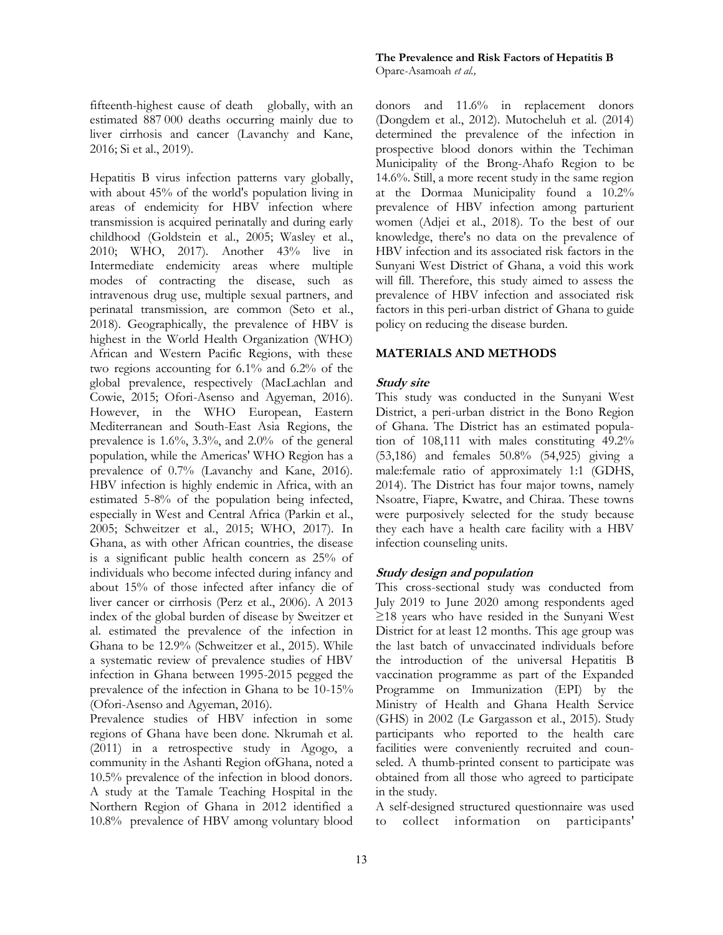fifteenth-highest cause of death globally, with an estimated 887 000 deaths occurring mainly due to liver cirrhosis and cancer (Lavanchy and Kane, 2016; Si et al., 2019).

Hepatitis B virus infection patterns vary globally, with about 45% of the world's population living in areas of endemicity for HBV infection where transmission is acquired perinatally and during early childhood (Goldstein et al., 2005; Wasley et al., 2010; WHO, 2017). Another 43% live in Intermediate endemicity areas where multiple modes of contracting the disease, such as intravenous drug use, multiple sexual partners, and perinatal transmission, are common (Seto et al., 2018). Geographically, the prevalence of HBV is highest in the World Health Organization (WHO) African and Western Pacific Regions, with these two regions accounting for 6.1% and 6.2% of the global prevalence, respectively (MacLachlan and Cowie, 2015; Ofori-Asenso and Agyeman, 2016). However, in the WHO European, Eastern Mediterranean and South-East Asia Regions, the prevalence is 1.6%, 3.3%, and 2.0% of the general population, while the Americas' WHO Region has a prevalence of 0.7% (Lavanchy and Kane, 2016). HBV infection is highly endemic in Africa, with an estimated 5-8% of the population being infected, especially in West and Central Africa (Parkin et al., 2005; Schweitzer et al., 2015; WHO, 2017). In Ghana, as with other African countries, the disease is a significant public health concern as 25% of individuals who become infected during infancy and about 15% of those infected after infancy die of liver cancer or cirrhosis (Perz et al., 2006). A 2013 index of the global burden of disease by Sweitzer et al. estimated the prevalence of the infection in Ghana to be 12.9% (Schweitzer et al., 2015). While a systematic review of prevalence studies of HBV infection in Ghana between 1995-2015 pegged the prevalence of the infection in Ghana to be 10-15% (Ofori-Asenso and Agyeman, 2016).

Prevalence studies of HBV infection in some regions of Ghana have been done. Nkrumah et al. (2011) in a retrospective study in Agogo, a community in the Ashanti Region ofGhana, noted a 10.5% prevalence of the infection in blood donors. A study at the Tamale Teaching Hospital in the Northern Region of Ghana in 2012 identified a 10.8% prevalence of HBV among voluntary blood **The Prevalence and Risk Factors of Hepatitis B**  Opare-Asamoah *et al.,*

donors and 11.6% in replacement donors (Dongdem et al., 2012). Mutocheluh et al. (2014) determined the prevalence of the infection in prospective blood donors within the Techiman Municipality of the Brong-Ahafo Region to be 14.6%. Still, a more recent study in the same region at the Dormaa Municipality found a 10.2% prevalence of HBV infection among parturient women (Adjei et al., 2018). To the best of our knowledge, there's no data on the prevalence of HBV infection and its associated risk factors in the Sunyani West District of Ghana, a void this work will fill. Therefore, this study aimed to assess the prevalence of HBV infection and associated risk factors in this peri-urban district of Ghana to guide policy on reducing the disease burden.

# **MATERIALS AND METHODS**

#### **Study site**

This study was conducted in the Sunyani West District, a peri-urban district in the Bono Region of Ghana. The District has an estimated population of 108,111 with males constituting 49.2% (53,186) and females 50.8% (54,925) giving a male:female ratio of approximately 1:1 (GDHS, 2014). The District has four major towns, namely Nsoatre, Fiapre, Kwatre, and Chiraa. These towns were purposively selected for the study because they each have a health care facility with a HBV infection counseling units.

#### **Study design and population**

This cross-sectional study was conducted from July 2019 to June 2020 among respondents aged ≥18 years who have resided in the Sunyani West District for at least 12 months. This age group was the last batch of unvaccinated individuals before the introduction of the universal Hepatitis B vaccination programme as part of the Expanded Programme on Immunization (EPI) by the Ministry of Health and Ghana Health Service (GHS) in 2002 (Le Gargasson et al., 2015). Study participants who reported to the health care facilities were conveniently recruited and counseled. A thumb-printed consent to participate was obtained from all those who agreed to participate in the study.

A self-designed structured questionnaire was used to collect information on participants'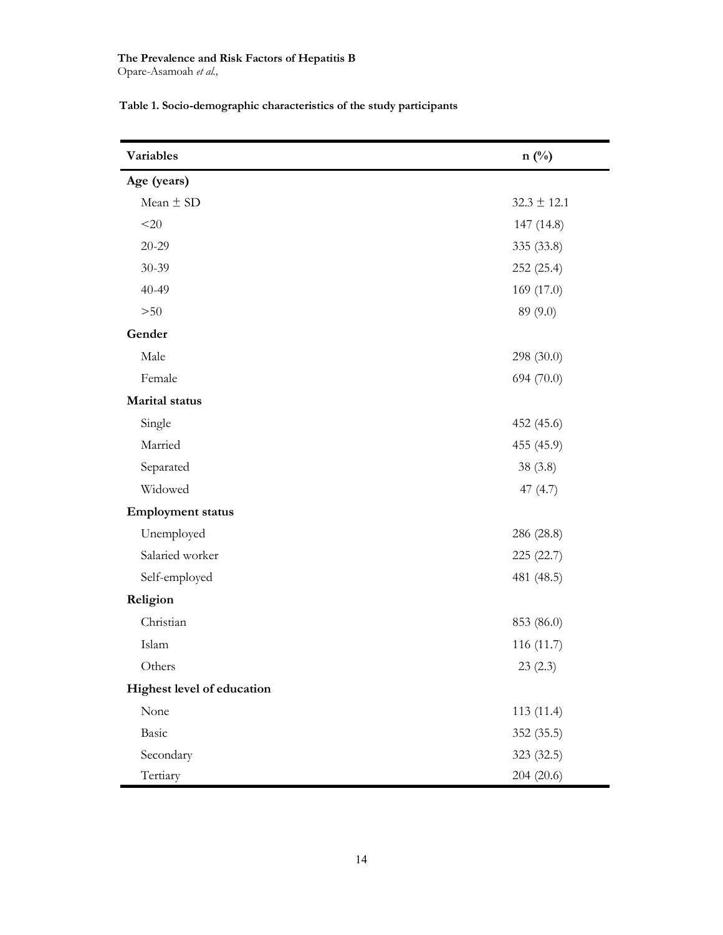#### **The Prevalence and Risk Factors of Hepatitis B**  Opare-Asamoah *et al.,*

| Variables                  | $n(^{0}/_{0})$  |
|----------------------------|-----------------|
| Age (years)                |                 |
| Mean $\pm$ SD              | $32.3 \pm 12.1$ |
| $< \! 20$                  | 147 (14.8)      |
| $20 - 29$                  | 335 (33.8)      |
| $30 - 39$                  | 252 (25.4)      |
| $40 - 49$                  | 169 (17.0)      |
| >50                        | 89 (9.0)        |
| Gender                     |                 |
| Male                       | 298 (30.0)      |
| Female                     | 694 (70.0)      |
| Marital status             |                 |
| Single                     | 452 (45.6)      |
| Married                    | 455 (45.9)      |
| Separated                  | 38(3.8)         |
| Widowed                    | 47 $(4.7)$      |
| <b>Employment status</b>   |                 |
| Unemployed                 | 286 (28.8)      |
| Salaried worker            | 225 (22.7)      |
| Self-employed              | 481 (48.5)      |
| Religion                   |                 |
| Christian                  | 853 (86.0)      |
| Islam                      | 116 (11.7)      |
| Others                     | 23(2.3)         |
| Highest level of education |                 |
| None                       | 113 (11.4)      |
| Basic                      | 352 (35.5)      |
| Secondary                  | 323 (32.5)      |
| Tertiary                   | 204 (20.6)      |

**Table 1. Socio-demographic characteristics of the study participants**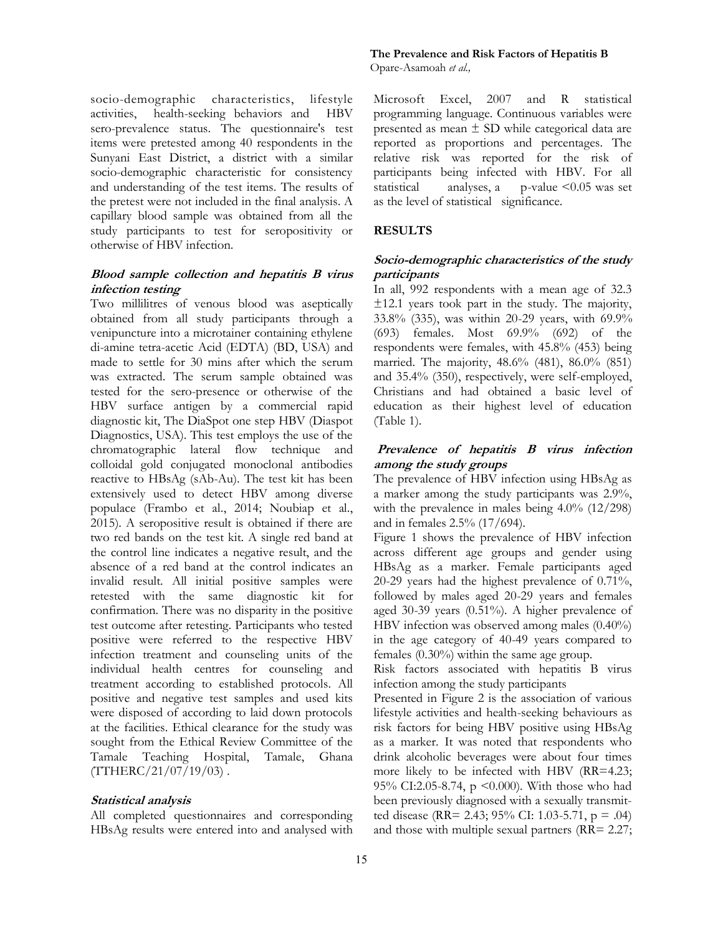socio-demographic characteristics, lifestyle activities, health-seeking behaviors and HBV sero-prevalence status. The questionnaire's test items were pretested among 40 respondents in the Sunyani East District, a district with a similar socio-demographic characteristic for consistency and understanding of the test items. The results of the pretest were not included in the final analysis. A capillary blood sample was obtained from all the study participants to test for seropositivity or otherwise of HBV infection.

# **Blood sample collection and hepatitis B virus infection testing**

Two millilitres of venous blood was aseptically obtained from all study participants through a venipuncture into a microtainer containing ethylene di-amine tetra-acetic Acid (EDTA) (BD, USA) and made to settle for 30 mins after which the serum was extracted. The serum sample obtained was tested for the sero-presence or otherwise of the HBV surface antigen by a commercial rapid diagnostic kit, The DiaSpot one step HBV (Diaspot Diagnostics, USA). This test employs the use of the chromatographic lateral flow technique and colloidal gold conjugated monoclonal antibodies reactive to HBsAg (sAb-Au). The test kit has been extensively used to detect HBV among diverse populace (Frambo et al., 2014; Noubiap et al., 2015). A seropositive result is obtained if there are two red bands on the test kit. A single red band at the control line indicates a negative result, and the absence of a red band at the control indicates an invalid result. All initial positive samples were retested with the same diagnostic kit for confirmation. There was no disparity in the positive test outcome after retesting. Participants who tested positive were referred to the respective HBV infection treatment and counseling units of the individual health centres for counseling and treatment according to established protocols. All positive and negative test samples and used kits were disposed of according to laid down protocols at the facilities. Ethical clearance for the study was sought from the Ethical Review Committee of the Tamale Teaching Hospital, Tamale, Ghana  $(TTHERC/21/07/19/03)$ .

# **Statistical analysis**

All completed questionnaires and corresponding HBsAg results were entered into and analysed with

#### **The Prevalence and Risk Factors of Hepatitis B**  Opare-Asamoah *et al.,*

Microsoft Excel, 2007 and R statistical programming language. Continuous variables were presented as mean ± SD while categorical data are reported as proportions and percentages. The relative risk was reported for the risk of participants being infected with HBV. For all statistical analyses, a p-value <0.05 was set as the level of statistical significance.

# **RESULTS**

# **Socio-demographic characteristics of the study participants**

In all, 992 respondents with a mean age of 32.3  $\pm 12.1$  years took part in the study. The majority, 33.8% (335), was within 20-29 years, with 69.9% (693) females. Most 69.9% (692) of the respondents were females, with 45.8% (453) being married. The majority, 48.6% (481), 86.0% (851) and 35.4% (350), respectively, were self-employed, Christians and had obtained a basic level of education as their highest level of education (Table 1).

# **Prevalence of hepatitis B virus infection among the study groups**

The prevalence of HBV infection using HBsAg as a marker among the study participants was 2.9%, with the prevalence in males being 4.0% (12/298) and in females 2.5% (17/694).

Figure 1 shows the prevalence of HBV infection across different age groups and gender using HBsAg as a marker. Female participants aged 20-29 years had the highest prevalence of 0.71%, followed by males aged 20-29 years and females aged 30-39 years (0.51%). A higher prevalence of HBV infection was observed among males (0.40%) in the age category of 40-49 years compared to females (0.30%) within the same age group.

Risk factors associated with hepatitis B virus infection among the study participants

Presented in Figure 2 is the association of various lifestyle activities and health-seeking behaviours as risk factors for being HBV positive using HBsAg as a marker. It was noted that respondents who drink alcoholic beverages were about four times more likely to be infected with HBV (RR=4.23; 95% CI:2.05-8.74, p <0.000). With those who had been previously diagnosed with a sexually transmitted disease (RR= 2.43; 95% CI: 1.03-5.71, p = .04) and those with multiple sexual partners (RR= 2.27;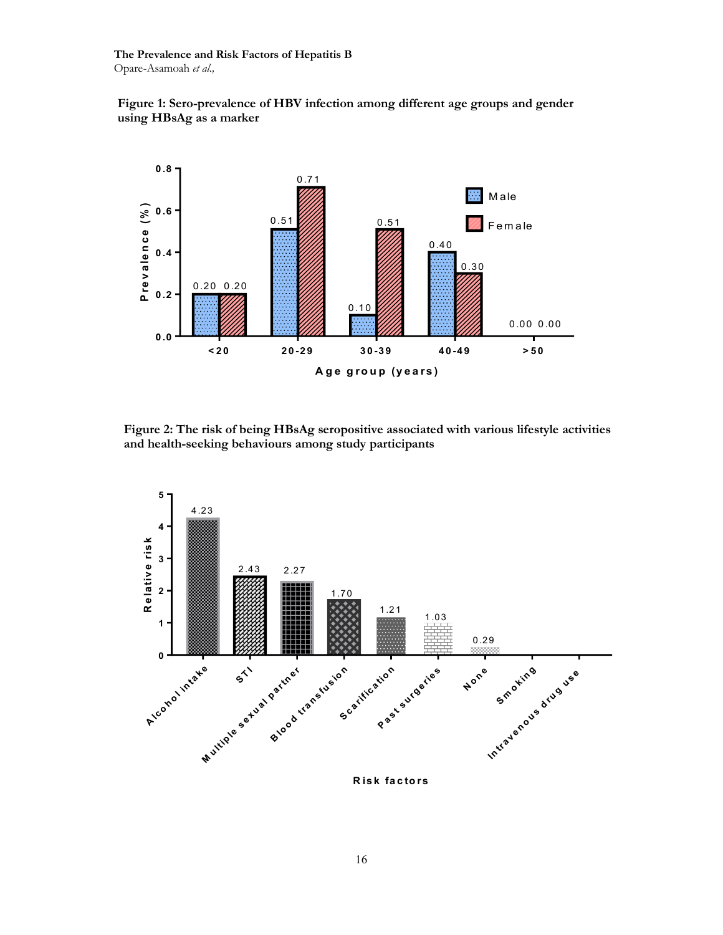**The Prevalence and Risk Factors of Hepatitis B**  Opare-Asamoah *et al.,*



**Figure 1: Sero-prevalence of HBV infection among different age groups and gender using HBsAg as a marker**

**Figure 2: The risk of being HBsAg seropositive associated with various lifestyle activities and health-seeking behaviours among study participants**

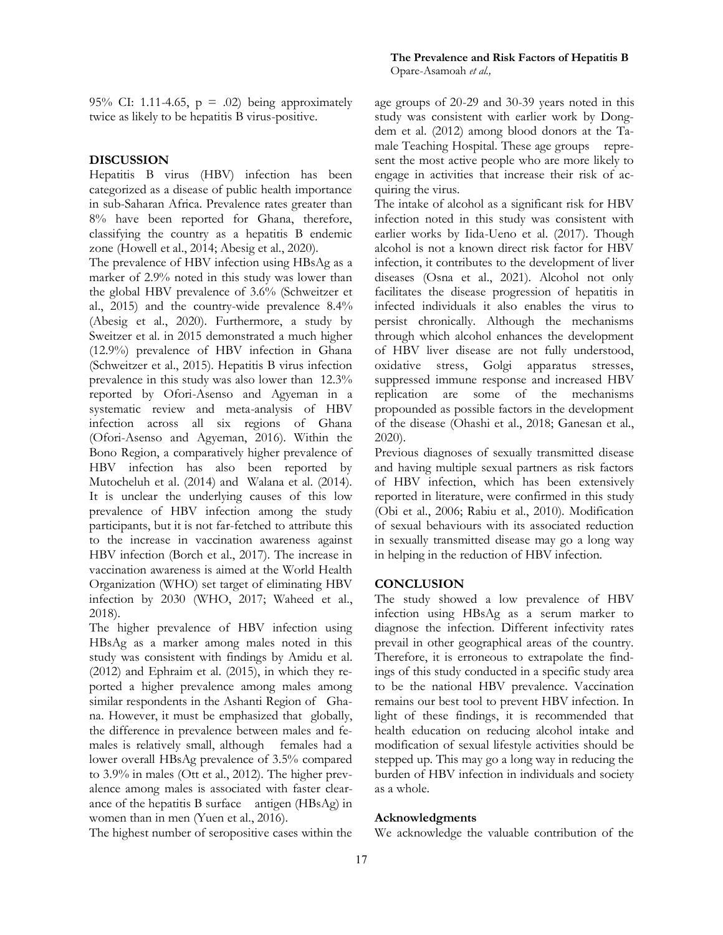95% CI: 1.11-4.65,  $p = .02$ ) being approximately twice as likely to be hepatitis B virus-positive.

#### **DISCUSSION**

Hepatitis B virus (HBV) infection has been categorized as a disease of public health importance in sub-Saharan Africa. Prevalence rates greater than 8% have been reported for Ghana, therefore, classifying the country as a hepatitis B endemic zone (Howell et al., 2014; Abesig et al., 2020).

The prevalence of HBV infection using HBsAg as a marker of 2.9% noted in this study was lower than the global HBV prevalence of 3.6% (Schweitzer et al., 2015) and the country-wide prevalence 8.4% (Abesig et al., 2020). Furthermore, a study by Sweitzer et al. in 2015 demonstrated a much higher (12.9%) prevalence of HBV infection in Ghana (Schweitzer et al., 2015). Hepatitis B virus infection prevalence in this study was also lower than 12.3% reported by Ofori-Asenso and Agyeman in a systematic review and meta-analysis of HBV infection across all six regions of Ghana (Ofori-Asenso and Agyeman, 2016). Within the Bono Region, a comparatively higher prevalence of HBV infection has also been reported by Mutocheluh et al. (2014) and Walana et al. (2014). It is unclear the underlying causes of this low prevalence of HBV infection among the study participants, but it is not far-fetched to attribute this to the increase in vaccination awareness against HBV infection (Borch et al., 2017). The increase in vaccination awareness is aimed at the World Health Organization (WHO) set target of eliminating HBV infection by 2030 (WHO, 2017; Waheed et al., 2018).

The higher prevalence of HBV infection using HBsAg as a marker among males noted in this study was consistent with findings by Amidu et al. (2012) and Ephraim et al. (2015), in which they reported a higher prevalence among males among similar respondents in the Ashanti Region of Ghana. However, it must be emphasized that globally, the difference in prevalence between males and females is relatively small, although females had a lower overall HBsAg prevalence of 3.5% compared to 3.9% in males (Ott et al., 2012). The higher prevalence among males is associated with faster clearance of the hepatitis B surface antigen (HBsAg) in women than in men (Yuen et al., 2016).

The highest number of seropositive cases within the

age groups of 20-29 and 30-39 years noted in this study was consistent with earlier work by Dongdem et al. (2012) among blood donors at the Tamale Teaching Hospital. These age groups represent the most active people who are more likely to engage in activities that increase their risk of acquiring the virus.

The intake of alcohol as a significant risk for HBV infection noted in this study was consistent with earlier works by Iida-Ueno et al. (2017). Though alcohol is not a known direct risk factor for HBV infection, it contributes to the development of liver diseases (Osna et al., 2021). Alcohol not only facilitates the disease progression of hepatitis in infected individuals it also enables the virus to persist chronically. Although the mechanisms through which alcohol enhances the development of HBV liver disease are not fully understood, oxidative stress, Golgi apparatus stresses, suppressed immune response and increased HBV replication are some of the mechanisms propounded as possible factors in the development of the disease (Ohashi et al., 2018; Ganesan et al., 2020).

Previous diagnoses of sexually transmitted disease and having multiple sexual partners as risk factors of HBV infection, which has been extensively reported in literature, were confirmed in this study (Obi et al., 2006; Rabiu et al., 2010). Modification of sexual behaviours with its associated reduction in sexually transmitted disease may go a long way in helping in the reduction of HBV infection.

### **CONCLUSION**

The study showed a low prevalence of HBV infection using HBsAg as a serum marker to diagnose the infection. Different infectivity rates prevail in other geographical areas of the country. Therefore, it is erroneous to extrapolate the findings of this study conducted in a specific study area to be the national HBV prevalence. Vaccination remains our best tool to prevent HBV infection. In light of these findings, it is recommended that health education on reducing alcohol intake and modification of sexual lifestyle activities should be stepped up. This may go a long way in reducing the burden of HBV infection in individuals and society as a whole.

#### **Acknowledgments**

We acknowledge the valuable contribution of the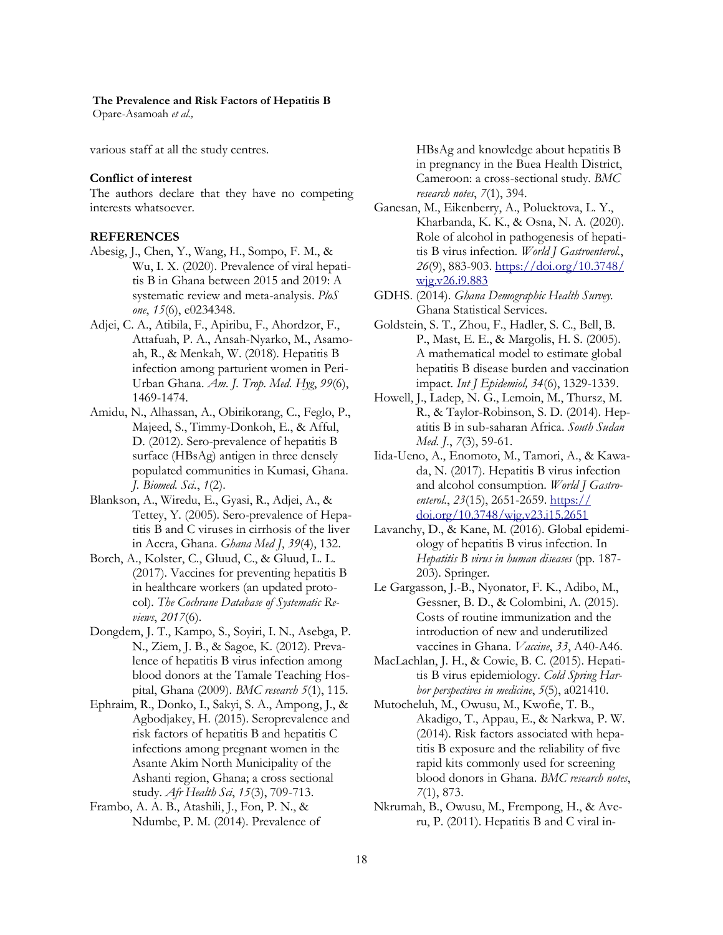## **The Prevalence and Risk Factors of Hepatitis B**

Opare-Asamoah *et al.,*

various staff at all the study centres.

# **Conflict of interest**

The authors declare that they have no competing interests whatsoever.

#### **REFERENCES**

- Abesig, J., Chen, Y., Wang, H., Sompo, F. M., & Wu, I. X. (2020). Prevalence of viral hepatitis B in Ghana between 2015 and 2019: A systematic review and meta-analysis. *PloS one*, *15*(6), e0234348.
- Adjei, C. A., Atibila, F., Apiribu, F., Ahordzor, F., Attafuah, P. A., Ansah-Nyarko, M., Asamoah, R., & Menkah, W. (2018). Hepatitis B infection among parturient women in Peri-Urban Ghana. *Am. J. Trop. Med. Hyg*, *99*(6), 1469-1474.
- Amidu, N., Alhassan, A., Obirikorang, C., Feglo, P., Majeed, S., Timmy-Donkoh, E., & Afful, D. (2012). Sero-prevalence of hepatitis B surface (HBsAg) antigen in three densely populated communities in Kumasi, Ghana. *J. Biomed. Sci.*, *1*(2).
- Blankson, A., Wiredu, E., Gyasi, R., Adjei, A., & Tettey, Y. (2005). Sero-prevalence of Hepatitis B and C viruses in cirrhosis of the liver in Accra, Ghana. *Ghana Med J*, *39*(4), 132.
- Borch, A., Kolster, C., Gluud, C., & Gluud, L. L. (2017). Vaccines for preventing hepatitis B in healthcare workers (an updated protocol). *The Cochrane Database of Systematic Reviews*, *2017*(6).
- Dongdem, J. T., Kampo, S., Soyiri, I. N., Asebga, P. N., Ziem, J. B., & Sagoe, K. (2012). Prevalence of hepatitis B virus infection among blood donors at the Tamale Teaching Hospital, Ghana (2009). *BMC research 5*(1), 115.
- Ephraim, R., Donko, I., Sakyi, S. A., Ampong, J., & Agbodjakey, H. (2015). Seroprevalence and risk factors of hepatitis B and hepatitis C infections among pregnant women in the Asante Akim North Municipality of the Ashanti region, Ghana; a cross sectional study. *Afr Health Sci*, *15*(3), 709-713.
- Frambo, A. A. B., Atashili, J., Fon, P. N., & Ndumbe, P. M. (2014). Prevalence of

HBsAg and knowledge about hepatitis B in pregnancy in the Buea Health District, Cameroon: a cross-sectional study. *BMC research notes*, *7*(1), 394.

- Ganesan, M., Eikenberry, A., Poluektova, L. Y., Kharbanda, K. K., & Osna, N. A. (2020). Role of alcohol in pathogenesis of hepatitis B virus infection. *World J Gastroenterol.*, *26*(9), 883-903. [https://doi.org/10.3748/](https://doi.org/10.3748/wjg.v26.i9.883) [wjg.v26.i9.883](https://doi.org/10.3748/wjg.v26.i9.883)
- GDHS. (2014). *Ghana Demographic Health Survey*. Ghana Statistical Services.
- Goldstein, S. T., Zhou, F., Hadler, S. C., Bell, B. P., Mast, E. E., & Margolis, H. S. (2005). A mathematical model to estimate global hepatitis B disease burden and vaccination impact. *Int J Epidemiol, 34*(6), 1329-1339.
- Howell, J., Ladep, N. G., Lemoin, M., Thursz, M. R., & Taylor-Robinson, S. D. (2014). Hepatitis B in sub-saharan Africa. *South Sudan Med. J.*, *7*(3), 59-61.
- Iida-Ueno, A., Enomoto, M., Tamori, A., & Kawada, N. (2017). Hepatitis B virus infection and alcohol consumption. *World J Gastroenterol.*, *23*(15), 2651-2659. [https://](https://doi.org/10.3748/wjg.v23.i15.2651) [doi.org/10.3748/wjg.v23.i15.2651](https://doi.org/10.3748/wjg.v23.i15.2651)
- Lavanchy, D., & Kane, M. (2016). Global epidemiology of hepatitis B virus infection. In *Hepatitis B virus in human diseases* (pp. 187- 203). Springer.
- Le Gargasson, J.-B., Nyonator, F. K., Adibo, M., Gessner, B. D., & Colombini, A. (2015). Costs of routine immunization and the introduction of new and underutilized vaccines in Ghana. *Vaccine*, *33*, A40-A46.
- MacLachlan, J. H., & Cowie, B. C. (2015). Hepatitis B virus epidemiology. *Cold Spring Harbor perspectives in medicine*, *5*(5), a021410.
- Mutocheluh, M., Owusu, M., Kwofie, T. B., Akadigo, T., Appau, E., & Narkwa, P. W. (2014). Risk factors associated with hepatitis B exposure and the reliability of five rapid kits commonly used for screening blood donors in Ghana. *BMC research notes*, *7*(1), 873.
- Nkrumah, B., Owusu, M., Frempong, H., & Averu, P. (2011). Hepatitis B and C viral in-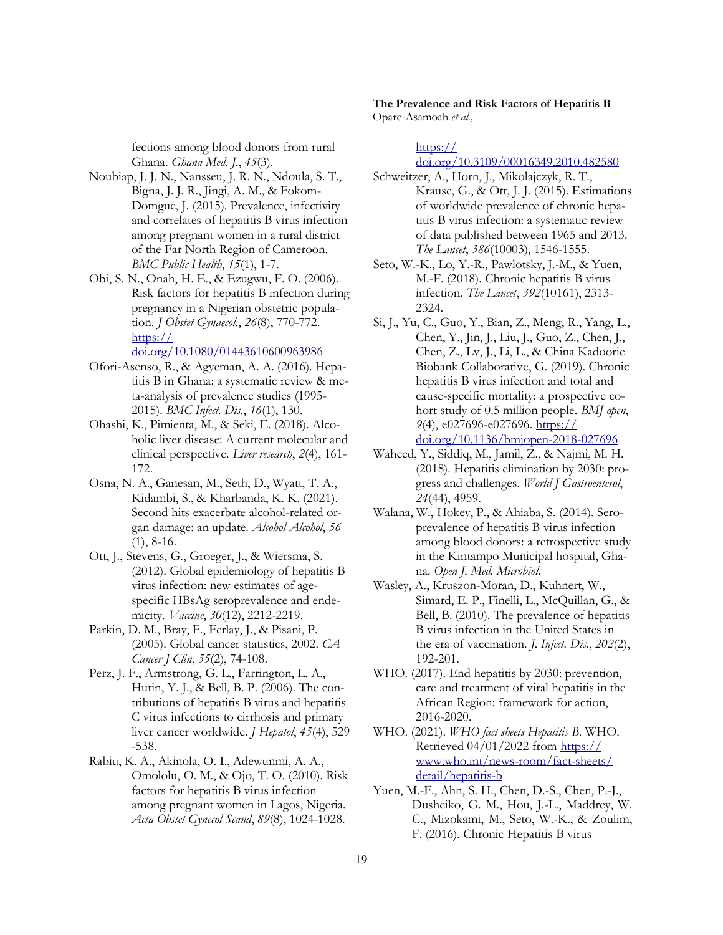fections among blood donors from rural Ghana. *Ghana Med. J.*, *45*(3).

- Noubiap, J. J. N., Nansseu, J. R. N., Ndoula, S. T., Bigna, J. J. R., Jingi, A. M., & Fokom-Domgue, J. (2015). Prevalence, infectivity and correlates of hepatitis B virus infection among pregnant women in a rural district of the Far North Region of Cameroon. *BMC Public Health*, *15*(1), 1-7.
- Obi, S. N., Onah, H. E., & Ezugwu, F. O. (2006). Risk factors for hepatitis B infection during pregnancy in a Nigerian obstetric population. *J Obstet Gynaecol.*, *26*(8), 770-772. [https://](https://doi.org/10.1080/01443610600963986)

[doi.org/10.1080/01443610600963986](https://doi.org/10.1080/01443610600963986)

- Ofori-Asenso, R., & Agyeman, A. A. (2016). Hepatitis B in Ghana: a systematic review & meta-analysis of prevalence studies (1995- 2015). *BMC Infect. Dis.*, *16*(1), 130.
- Ohashi, K., Pimienta, M., & Seki, E. (2018). Alcoholic liver disease: A current molecular and clinical perspective. *Liver research*, *2*(4), 161- 172.
- Osna, N. A., Ganesan, M., Seth, D., Wyatt, T. A., Kidambi, S., & Kharbanda, K. K. (2021). Second hits exacerbate alcohol-related organ damage: an update. *Alcohol Alcohol*, *56*  $(1), 8-16.$
- Ott, J., Stevens, G., Groeger, J., & Wiersma, S. (2012). Global epidemiology of hepatitis B virus infection: new estimates of agespecific HBsAg seroprevalence and endemicity. *Vaccine*, *30*(12), 2212-2219.
- Parkin, D. M., Bray, F., Ferlay, J., & Pisani, P. (2005). Global cancer statistics, 2002. *CA Cancer J Clin*, *55*(2), 74-108.
- Perz, J. F., Armstrong, G. L., Farrington, L. A., Hutin, Y. J., & Bell, B. P. (2006). The contributions of hepatitis B virus and hepatitis C virus infections to cirrhosis and primary liver cancer worldwide. *J Hepatol*, *45*(4), 529 -538.
- Rabiu, K. A., Akinola, O. I., Adewunmi, A. A., Omololu, O. M., & Ojo, T. O. (2010). Risk factors for hepatitis B virus infection among pregnant women in Lagos, Nigeria. *Acta Obstet Gynecol Scand*, *89*(8), 1024-1028.

**The Prevalence and Risk Factors of Hepatitis B**  Opare-Asamoah *et al.,*

[https://](https://doi.org/10.3109/00016349.2010.482580)

[doi.org/10.3109/00016349.2010.482580](https://doi.org/10.3109/00016349.2010.482580)

- Schweitzer, A., Horn, J., Mikolajczyk, R. T., Krause, G., & Ott, J. J. (2015). Estimations of worldwide prevalence of chronic hepatitis B virus infection: a systematic review of data published between 1965 and 2013. *The Lancet*, *386*(10003), 1546-1555.
- Seto, W.-K., Lo, Y.-R., Pawlotsky, J.-M., & Yuen, M.-F. (2018). Chronic hepatitis B virus infection. *The Lancet*, *392*(10161), 2313- 2324.
- Si, J., Yu, C., Guo, Y., Bian, Z., Meng, R., Yang, L., Chen, Y., Jin, J., Liu, J., Guo, Z., Chen, J., Chen, Z., Lv, J., Li, L., & China Kadoorie Biobank Collaborative, G. (2019). Chronic hepatitis B virus infection and total and cause-specific mortality: a prospective cohort study of 0.5 million people. *BMJ open*, *9*(4), e027696-e027696. [https://](https://doi.org/10.1136/bmjopen-2018-027696) [doi.org/10.1136/bmjopen-2018-027696](https://doi.org/10.1136/bmjopen-2018-027696)
- Waheed, Y., Siddiq, M., Jamil, Z., & Najmi, M. H. (2018). Hepatitis elimination by 2030: progress and challenges. *World J Gastroenterol*, *24*(44), 4959.
- Walana, W., Hokey, P., & Ahiaba, S. (2014). Seroprevalence of hepatitis B virus infection among blood donors: a retrospective study in the Kintampo Municipal hospital, Ghana. *Open J. Med. Microbiol.*
- Wasley, A., Kruszon-Moran, D., Kuhnert, W., Simard, E. P., Finelli, L., McQuillan, G., & Bell, B. (2010). The prevalence of hepatitis B virus infection in the United States in the era of vaccination. *J. Infect. Dis.*, *202*(2), 192-201.
- WHO. (2017). End hepatitis by 2030: prevention, care and treatment of viral hepatitis in the African Region: framework for action, 2016-2020.
- WHO. (2021). *WHO fact sheets Hepatitis B*. WHO. Retrieved 04/01/2022 from [https://](https://www.who.int/news-room/fact-sheets/detail/hepatitis-b) [www.who.int/news-room/fact-sheets/](https://www.who.int/news-room/fact-sheets/detail/hepatitis-b) [detail/hepatitis-b](https://www.who.int/news-room/fact-sheets/detail/hepatitis-b)
- Yuen, M.-F., Ahn, S. H., Chen, D.-S., Chen, P.-J., Dusheiko, G. M., Hou, J.-L., Maddrey, W. C., Mizokami, M., Seto, W.-K., & Zoulim, F. (2016). Chronic Hepatitis B virus